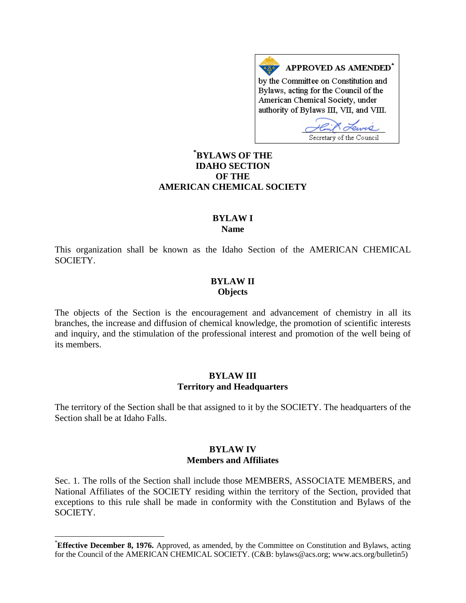APPROVED AS AMENDED\* by the Committee on Constitution and Bylaws, acting for the Council of the American Chemical Society, under authority of Bylaws III, VII, and VIII.

Secretary of the Council

# **[\\*](#page-0-0) BYLAWS OF THE IDAHO SECTION OF THE AMERICAN CHEMICAL SOCIETY**

## **BYLAW I Name**

This organization shall be known as the Idaho Section of the AMERICAN CHEMICAL SOCIETY.

## **BYLAW II Objects**

The objects of the Section is the encouragement and advancement of chemistry in all its branches, the increase and diffusion of chemical knowledge, the promotion of scientific interests and inquiry, and the stimulation of the professional interest and promotion of the well being of its members.

#### **BYLAW III Territory and Headquarters**

The territory of the Section shall be that assigned to it by the SOCIETY. The headquarters of the Section shall be at Idaho Falls.

#### **BYLAW IV Members and Affiliates**

Sec. 1. The rolls of the Section shall include those MEMBERS, ASSOCIATE MEMBERS, and National Affiliates of the SOCIETY residing within the territory of the Section, provided that exceptions to this rule shall be made in conformity with the Constitution and Bylaws of the SOCIETY.

<span id="page-0-0"></span> <sup>\*</sup> **Effective December 8, 1976.** Approved, as amended, by the Committee on Constitution and Bylaws, acting for the Council of the AMERICAN CHEMICAL SOCIETY. (C&B: bylaws@acs.org; www.acs.org/bulletin5)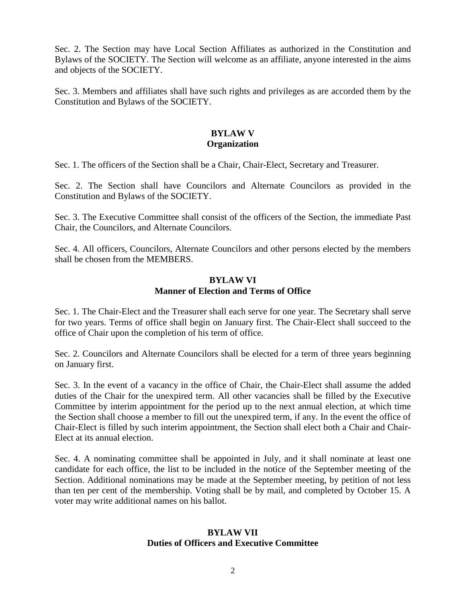Sec. 2. The Section may have Local Section Affiliates as authorized in the Constitution and Bylaws of the SOCIETY. The Section will welcome as an affiliate, anyone interested in the aims and objects of the SOCIETY.

Sec. 3. Members and affiliates shall have such rights and privileges as are accorded them by the Constitution and Bylaws of the SOCIETY.

## **BYLAW V Organization**

Sec. 1. The officers of the Section shall be a Chair, Chair-Elect, Secretary and Treasurer.

Sec. 2. The Section shall have Councilors and Alternate Councilors as provided in the Constitution and Bylaws of the SOCIETY.

Sec. 3. The Executive Committee shall consist of the officers of the Section, the immediate Past Chair, the Councilors, and Alternate Councilors.

Sec. 4. All officers, Councilors, Alternate Councilors and other persons elected by the members shall be chosen from the MEMBERS.

#### **BYLAW VI Manner of Election and Terms of Office**

Sec. 1. The Chair-Elect and the Treasurer shall each serve for one year. The Secretary shall serve for two years. Terms of office shall begin on January first. The Chair-Elect shall succeed to the office of Chair upon the completion of his term of office.

Sec. 2. Councilors and Alternate Councilors shall be elected for a term of three years beginning on January first.

Sec. 3. In the event of a vacancy in the office of Chair, the Chair-Elect shall assume the added duties of the Chair for the unexpired term. All other vacancies shall be filled by the Executive Committee by interim appointment for the period up to the next annual election, at which time the Section shall choose a member to fill out the unexpired term, if any. In the event the office of Chair-Elect is filled by such interim appointment, the Section shall elect both a Chair and Chair-Elect at its annual election.

Sec. 4. A nominating committee shall be appointed in July, and it shall nominate at least one candidate for each office, the list to be included in the notice of the September meeting of the Section. Additional nominations may be made at the September meeting, by petition of not less than ten per cent of the membership. Voting shall be by mail, and completed by October 15. A voter may write additional names on his ballot.

## **BYLAW VII Duties of Officers and Executive Committee**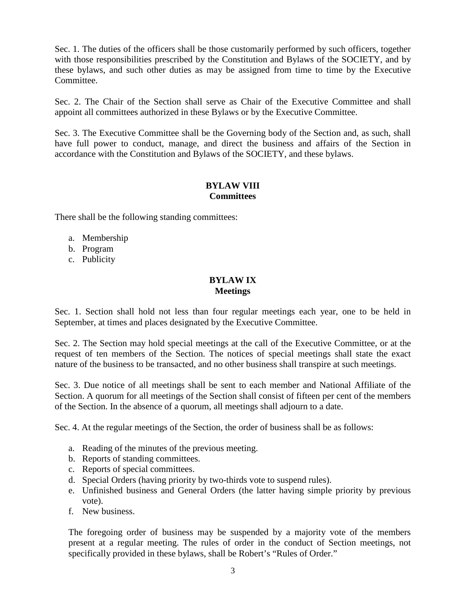Sec. 1. The duties of the officers shall be those customarily performed by such officers, together with those responsibilities prescribed by the Constitution and Bylaws of the SOCIETY, and by these bylaws, and such other duties as may be assigned from time to time by the Executive Committee.

Sec. 2. The Chair of the Section shall serve as Chair of the Executive Committee and shall appoint all committees authorized in these Bylaws or by the Executive Committee.

Sec. 3. The Executive Committee shall be the Governing body of the Section and, as such, shall have full power to conduct, manage, and direct the business and affairs of the Section in accordance with the Constitution and Bylaws of the SOCIETY, and these bylaws.

## **BYLAW VIII Committees**

There shall be the following standing committees:

- a. Membership
- b. Program
- c. Publicity

## **BYLAW IX Meetings**

Sec. 1. Section shall hold not less than four regular meetings each year, one to be held in September, at times and places designated by the Executive Committee.

Sec. 2. The Section may hold special meetings at the call of the Executive Committee, or at the request of ten members of the Section. The notices of special meetings shall state the exact nature of the business to be transacted, and no other business shall transpire at such meetings.

Sec. 3. Due notice of all meetings shall be sent to each member and National Affiliate of the Section. A quorum for all meetings of the Section shall consist of fifteen per cent of the members of the Section. In the absence of a quorum, all meetings shall adjourn to a date.

Sec. 4. At the regular meetings of the Section, the order of business shall be as follows:

- a. Reading of the minutes of the previous meeting.
- b. Reports of standing committees.
- c. Reports of special committees.
- d. Special Orders (having priority by two-thirds vote to suspend rules).
- e. Unfinished business and General Orders (the latter having simple priority by previous vote).
- f. New business.

The foregoing order of business may be suspended by a majority vote of the members present at a regular meeting. The rules of order in the conduct of Section meetings, not specifically provided in these bylaws, shall be Robert's "Rules of Order."